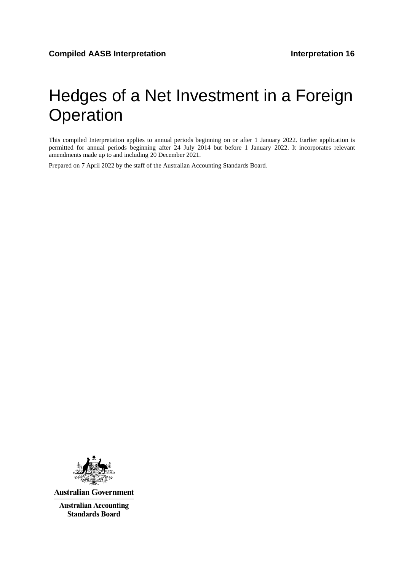# Hedges of a Net Investment in a Foreign **Operation**

This compiled Interpretation applies to annual periods beginning on or after 1 January 2022. Earlier application is permitted for annual periods beginning after 24 July 2014 but before 1 January 2022. It incorporates relevant amendments made up to and including 20 December 2021.

Prepared on 7 April 2022 by the staff of the Australian Accounting Standards Board.



**Australian Government** 

**Australian Accounting Standards Board**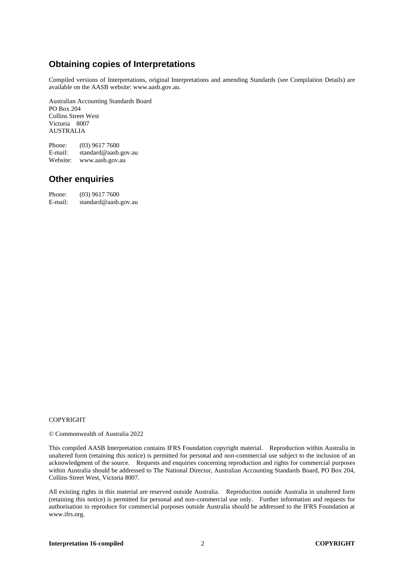# **Obtaining copies of Interpretations**

Compiled versions of Interpretations, original Interpretations and amending Standards (see Compilation Details) are available on the AASB website: www.aasb.gov.au.

Australian Accounting Standards Board PO Box 204 Collins Street West Victoria 8007 AUSTRALIA

Phone:  $(03)$  9617 7600<br>E-mail: standard@aasb. standard@aasb.gov.au Website: www.aasb.gov.au

### **Other enquiries**

| Phone:  | $(03)$ 9617 7600     |
|---------|----------------------|
| E-mail: | standard@aasb.gov.au |

#### COPYRIGHT

#### © Commonwealth of Australia 2022

This compiled AASB Interpretation contains IFRS Foundation copyright material. Reproduction within Australia in unaltered form (retaining this notice) is permitted for personal and non-commercial use subject to the inclusion of an acknowledgment of the source. Requests and enquiries concerning reproduction and rights for commercial purposes within Australia should be addressed to The National Director, Australian Accounting Standards Board, PO Box 204, Collins Street West, Victoria 8007.

All existing rights in this material are reserved outside Australia. Reproduction outside Australia in unaltered form (retaining this notice) is permitted for personal and non-commercial use only. Further information and requests for authorisation to reproduce for commercial purposes outside Australia should be addressed to the IFRS Foundation at www.ifrs.org.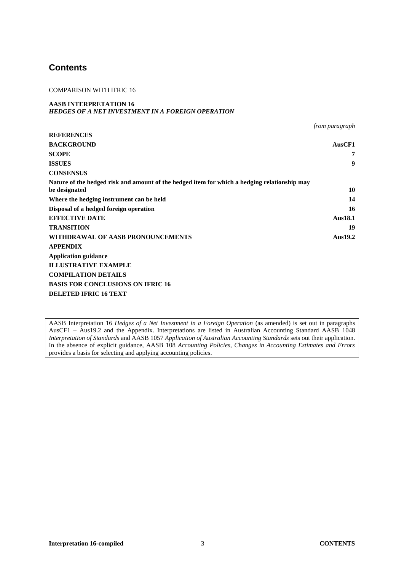### **Contents**

#### COMPARISON WITH IFRIC 16

#### **AASB INTERPRETATION 16** *HEDGES OF A NET INVESTMENT IN A FOREIGN OPERATION*

*from paragraph*

| <b>REFERENCES</b>                                                                                             |                |
|---------------------------------------------------------------------------------------------------------------|----------------|
| <b>BACKGROUND</b>                                                                                             | AusCF1         |
| <b>SCOPE</b>                                                                                                  | 7              |
| <b>ISSUES</b>                                                                                                 | 9              |
| <b>CONSENSUS</b>                                                                                              |                |
| Nature of the hedged risk and amount of the hedged item for which a hedging relationship may<br>be designated | 10             |
| Where the hedging instrument can be held                                                                      | 14             |
| Disposal of a hedged foreign operation                                                                        | 16             |
| <b>EFFECTIVE DATE</b>                                                                                         | <b>Aus18.1</b> |
| <b>TRANSITION</b>                                                                                             | 19             |
| WITHDRAWAL OF AASB PRONOUNCEMENTS                                                                             | <b>Aus19.2</b> |
| <b>APPENDIX</b>                                                                                               |                |
| <b>Application guidance</b>                                                                                   |                |
| <b>ILLUSTRATIVE EXAMPLE</b>                                                                                   |                |
| <b>COMPILATION DETAILS</b>                                                                                    |                |
| <b>BASIS FOR CONCLUSIONS ON IFRIC 16</b>                                                                      |                |
| <b>DELETED IFRIC 16 TEXT</b>                                                                                  |                |

AASB Interpretation 16 *Hedges of a Net Investment in a Foreign Operation* (as amended) is set out in paragraphs AusCF1 – Aus19.2 and the Appendix. Interpretations are listed in Australian Accounting Standard AASB 1048 *Interpretation of Standards* and AASB 1057 *Application of Australian Accounting Standards* sets out their application. In the absence of explicit guidance, AASB 108 *Accounting Policies, Changes in Accounting Estimates and Errors* provides a basis for selecting and applying accounting policies.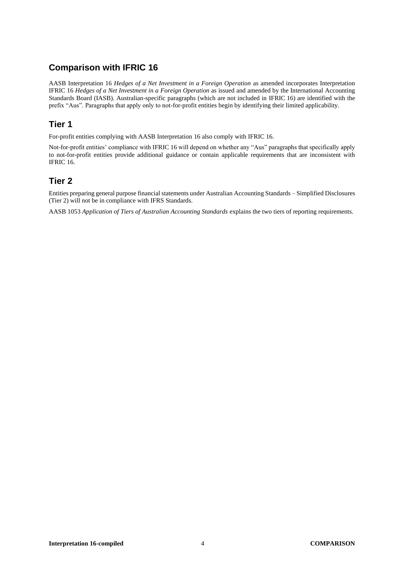# **Comparison with IFRIC 16**

AASB Interpretation 16 *Hedges of a Net Investment in a Foreign Operation* as amended incorporates Interpretation IFRIC 16 *Hedges of a Net Investment in a Foreign Operation* as issued and amended by the International Accounting Standards Board (IASB). Australian-specific paragraphs (which are not included in IFRIC 16) are identified with the prefix "Aus". Paragraphs that apply only to not-for-profit entities begin by identifying their limited applicability.

### **Tier 1**

For-profit entities complying with AASB Interpretation 16 also comply with IFRIC 16.

Not-for-profit entities' compliance with IFRIC 16 will depend on whether any "Aus" paragraphs that specifically apply to not-for-profit entities provide additional guidance or contain applicable requirements that are inconsistent with IFRIC 16.

### **Tier 2**

Entities preparing general purpose financial statements under Australian Accounting Standards – Simplified Disclosures (Tier 2) will not be in compliance with IFRS Standards.

AASB 1053 *Application of Tiers of Australian Accounting Standards* explains the two tiers of reporting requirements.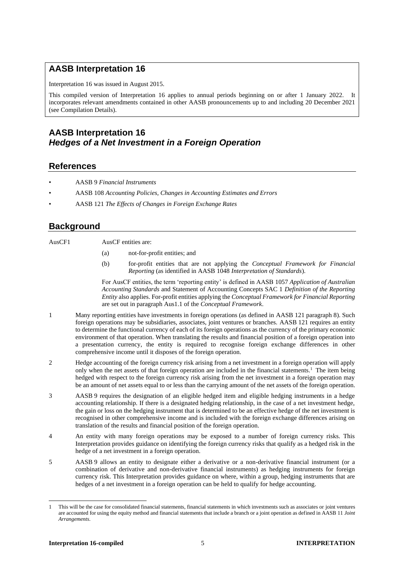### **AASB Interpretation 16**

Interpretation 16 was issued in August 2015.

This compiled version of Interpretation 16 applies to annual periods beginning on or after 1 January 2022. It incorporates relevant amendments contained in other AASB pronouncements up to and including 20 December 2021 (see Compilation Details).

# **AASB Interpretation 16** *Hedges of a Net Investment in a Foreign Operation*

### **References**

- AASB 9 *Financial Instruments*
- AASB 108 *Accounting Policies, Changes in Accounting Estimates and Errors*
- AASB 121 *The Effects of Changes in Foreign Exchange Rates*

# **Background**

AusCF1 AusCF entities are:

- (a) not-for-profit entities; and
- (b) for-profit entities that are not applying the *Conceptual Framework for Financial Reporting* (as identified in AASB 1048 *Interpretation of Standards*).

For AusCF entities, the term 'reporting entity' is defined in AASB 1057 *Application of Australian Accounting Standards* and Statement of Accounting Concepts SAC 1 *Definition of the Reporting Entity* also applies. For-profit entities applying the *Conceptual Framework for Financial Reporting* are set out in paragraph Aus1.1 of the *Conceptual Framework*.

- 1 Many reporting entities have investments in foreign operations (as defined in AASB 121 paragraph 8). Such foreign operations may be subsidiaries, associates, joint ventures or branches. AASB 121 requires an entity to determine the functional currency of each of its foreign operations as the currency of the primary economic environment of that operation. When translating the results and financial position of a foreign operation into a presentation currency, the entity is required to recognise foreign exchange differences in other comprehensive income until it disposes of the foreign operation.
- 2 Hedge accounting of the foreign currency risk arising from a net investment in a foreign operation will apply only when the net assets of that foreign operation are included in the financial statements.<sup>1</sup> The item being hedged with respect to the foreign currency risk arising from the net investment in a foreign operation may be an amount of net assets equal to or less than the carrying amount of the net assets of the foreign operation.
- 3 AASB 9 requires the designation of an eligible hedged item and eligible hedging instruments in a hedge accounting relationship. If there is a designated hedging relationship, in the case of a net investment hedge, the gain or loss on the hedging instrument that is determined to be an effective hedge of the net investment is recognised in other comprehensive income and is included with the foreign exchange differences arising on translation of the results and financial position of the foreign operation.
- 4 An entity with many foreign operations may be exposed to a number of foreign currency risks. This Interpretation provides guidance on identifying the foreign currency risks that qualify as a hedged risk in the hedge of a net investment in a foreign operation.
- 5 AASB 9 allows an entity to designate either a derivative or a non-derivative financial instrument (or a combination of derivative and non-derivative financial instruments) as hedging instruments for foreign currency risk. This Interpretation provides guidance on where, within a group, hedging instruments that are hedges of a net investment in a foreign operation can be held to qualify for hedge accounting.

<sup>1</sup> This will be the case for consolidated financial statements, financial statements in which investments such as associates or joint ventures are accounted for using the equity method and financial statements that include a branch or a joint operation as defined in AASB 11 *Joint Arrangements*.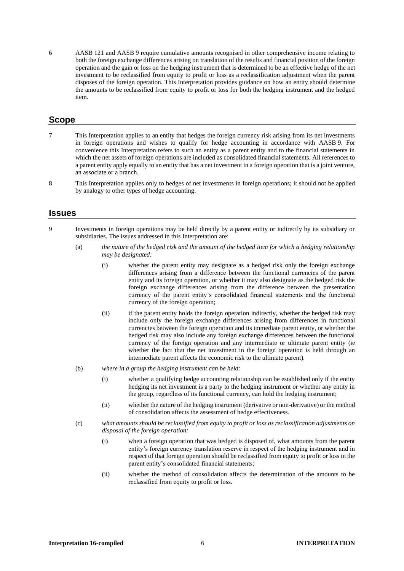6 AASB 121 and AASB 9 require cumulative amounts recognised in other comprehensive income relating to both the foreign exchange differences arising on translation of the results and financial position of the foreign operation and the gain or loss on the hedging instrument that is determined to be an effective hedge of the net investment to be reclassified from equity to profit or loss as a reclassification adjustment when the parent disposes of the foreign operation. This Interpretation provides guidance on how an entity should determine the amounts to be reclassified from equity to profit or loss for both the hedging instrument and the hedged item.

### **Scope**

- 7 This Interpretation applies to an entity that hedges the foreign currency risk arising from its net investments in foreign operations and wishes to qualify for hedge accounting in accordance with AASB 9. For convenience this Interpretation refers to such an entity as a parent entity and to the financial statements in which the net assets of foreign operations are included as consolidated financial statements. All references to a parent entity apply equally to an entity that has a net investment in a foreign operation that is a joint venture, an associate or a branch.
- 8 This Interpretation applies only to hedges of net investments in foreign operations; it should not be applied by analogy to other types of hedge accounting.

#### **Issues**

- 9 Investments in foreign operations may be held directly by a parent entity or indirectly by its subsidiary or subsidiaries. The issues addressed in this Interpretation are:
	- (a) *the nature of the hedged risk and the amount of the hedged item for which a hedging relationship may be designated:*
		- (i) whether the parent entity may designate as a hedged risk only the foreign exchange differences arising from a difference between the functional currencies of the parent entity and its foreign operation, or whether it may also designate as the hedged risk the foreign exchange differences arising from the difference between the presentation currency of the parent entity's consolidated financial statements and the functional currency of the foreign operation;
		- (ii) if the parent entity holds the foreign operation indirectly, whether the hedged risk may include only the foreign exchange differences arising from differences in functional currencies between the foreign operation and its immediate parent entity, or whether the hedged risk may also include any foreign exchange differences between the functional currency of the foreign operation and any intermediate or ultimate parent entity (ie whether the fact that the net investment in the foreign operation is held through an intermediate parent affects the economic risk to the ultimate parent).
	- (b) *where in a group the hedging instrument can be held:*
		- (i) whether a qualifying hedge accounting relationship can be established only if the entity hedging its net investment is a party to the hedging instrument or whether any entity in the group, regardless of its functional currency, can hold the hedging instrument;
		- (ii) whether the nature of the hedging instrument (derivative or non-derivative) or the method of consolidation affects the assessment of hedge effectiveness.
	- (c) *what amounts should be reclassified from equity to profit or loss as reclassification adjustments on disposal of the foreign operation:*
		- (i) when a foreign operation that was hedged is disposed of, what amounts from the parent entity's foreign currency translation reserve in respect of the hedging instrument and in respect of that foreign operation should be reclassified from equity to profit or loss in the parent entity's consolidated financial statements;
		- (ii) whether the method of consolidation affects the determination of the amounts to be reclassified from equity to profit or loss.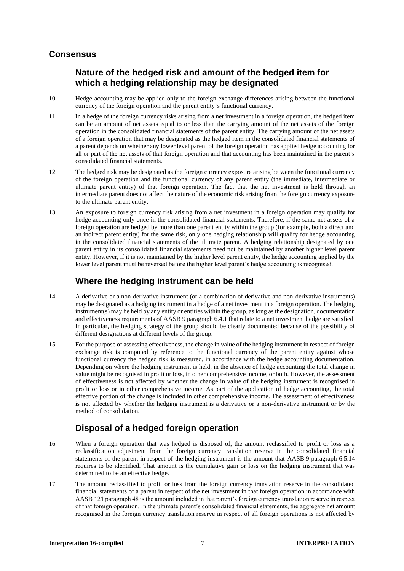### **Consensus**

### **Nature of the hedged risk and amount of the hedged item for which a hedging relationship may be designated**

- 10 Hedge accounting may be applied only to the foreign exchange differences arising between the functional currency of the foreign operation and the parent entity's functional currency.
- 11 In a hedge of the foreign currency risks arising from a net investment in a foreign operation, the hedged item can be an amount of net assets equal to or less than the carrying amount of the net assets of the foreign operation in the consolidated financial statements of the parent entity. The carrying amount of the net assets of a foreign operation that may be designated as the hedged item in the consolidated financial statements of a parent depends on whether any lower level parent of the foreign operation has applied hedge accounting for all or part of the net assets of that foreign operation and that accounting has been maintained in the parent's consolidated financial statements.
- 12 The hedged risk may be designated as the foreign currency exposure arising between the functional currency of the foreign operation and the functional currency of any parent entity (the immediate, intermediate or ultimate parent entity) of that foreign operation. The fact that the net investment is held through an intermediate parent does not affect the nature of the economic risk arising from the foreign currency exposure to the ultimate parent entity.
- 13 An exposure to foreign currency risk arising from a net investment in a foreign operation may qualify for hedge accounting only once in the consolidated financial statements. Therefore, if the same net assets of a foreign operation are hedged by more than one parent entity within the group (for example, both a direct and an indirect parent entity) for the same risk, only one hedging relationship will qualify for hedge accounting in the consolidated financial statements of the ultimate parent. A hedging relationship designated by one parent entity in its consolidated financial statements need not be maintained by another higher level parent entity. However, if it is not maintained by the higher level parent entity, the hedge accounting applied by the lower level parent must be reversed before the higher level parent's hedge accounting is recognised.

### **Where the hedging instrument can be held**

- 14 A derivative or a non-derivative instrument (or a combination of derivative and non-derivative instruments) may be designated as a hedging instrument in a hedge of a net investment in a foreign operation. The hedging instrument(s) may be held by any entity or entities within the group, as long as the designation, documentation and effectiveness requirements of AASB 9 paragraph 6.4.1 that relate to a net investment hedge are satisfied. In particular, the hedging strategy of the group should be clearly documented because of the possibility of different designations at different levels of the group.
- 15 For the purpose of assessing effectiveness, the change in value of the hedging instrument in respect of foreign exchange risk is computed by reference to the functional currency of the parent entity against whose functional currency the hedged risk is measured, in accordance with the hedge accounting documentation. Depending on where the hedging instrument is held, in the absence of hedge accounting the total change in value might be recognised in profit or loss, in other comprehensive income, or both. However, the assessment of effectiveness is not affected by whether the change in value of the hedging instrument is recognised in profit or loss or in other comprehensive income. As part of the application of hedge accounting, the total effective portion of the change is included in other comprehensive income. The assessment of effectiveness is not affected by whether the hedging instrument is a derivative or a non-derivative instrument or by the method of consolidation.

# **Disposal of a hedged foreign operation**

- 16 When a foreign operation that was hedged is disposed of, the amount reclassified to profit or loss as a reclassification adjustment from the foreign currency translation reserve in the consolidated financial statements of the parent in respect of the hedging instrument is the amount that AASB 9 paragraph 6.5.14 requires to be identified. That amount is the cumulative gain or loss on the hedging instrument that was determined to be an effective hedge.
- 17 The amount reclassified to profit or loss from the foreign currency translation reserve in the consolidated financial statements of a parent in respect of the net investment in that foreign operation in accordance with AASB 121 paragraph 48 is the amount included in that parent's foreign currency translation reserve in respect of that foreign operation. In the ultimate parent's consolidated financial statements, the aggregate net amount recognised in the foreign currency translation reserve in respect of all foreign operations is not affected by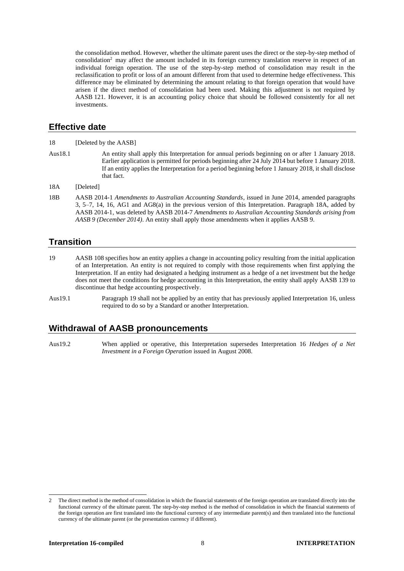the consolidation method. However, whether the ultimate parent uses the direct or the step-by-step method of consolidation<sup>2</sup> may affect the amount included in its foreign currency translation reserve in respect of an individual foreign operation. The use of the step-by-step method of consolidation may result in the reclassification to profit or loss of an amount different from that used to determine hedge effectiveness. This difference may be eliminated by determining the amount relating to that foreign operation that would have arisen if the direct method of consolidation had been used. Making this adjustment is not required by AASB 121. However, it is an accounting policy choice that should be followed consistently for all net investments.

#### **Effective date**

18 [Deleted by the AASB]

- Aus18.1 An entity shall apply this Interpretation for annual periods beginning on or after 1 January 2018. Earlier application is permitted for periods beginning after 24 July 2014 but before 1 January 2018. If an entity applies the Interpretation for a period beginning before 1 January 2018, it shall disclose that fact.
- 18A [Deleted]
- 18B AASB 2014-1 *Amendments to Australian Accounting Standards*, issued in June 2014, amended paragraphs 3, 5–7, 14, 16, AG1 and AG8(a) in the previous version of this Interpretation. Paragraph 18A, added by AASB 2014-1, was deleted by AASB 2014-7 *Amendments to Australian Accounting Standards arising from AASB 9 (December 2014)*. An entity shall apply those amendments when it applies AASB 9.

### **Transition**

- 19 AASB 108 specifies how an entity applies a change in accounting policy resulting from the initial application of an Interpretation. An entity is not required to comply with those requirements when first applying the Interpretation. If an entity had designated a hedging instrument as a hedge of a net investment but the hedge does not meet the conditions for hedge accounting in this Interpretation, the entity shall apply AASB 139 to discontinue that hedge accounting prospectively.
- Aus19.1 Paragraph 19 shall not be applied by an entity that has previously applied Interpretation 16, unless required to do so by a Standard or another Interpretation.

### **Withdrawal of AASB pronouncements**

Aus19.2 When applied or operative, this Interpretation supersedes Interpretation 16 *Hedges of a Net Investment in a Foreign Operation* issued in August 2008.

<sup>2</sup> The direct method is the method of consolidation in which the financial statements of the foreign operation are translated directly into the functional currency of the ultimate parent. The step-by-step method is the method of consolidation in which the financial statements of the foreign operation are first translated into the functional currency of any intermediate parent(s) and then translated into the functional currency of the ultimate parent (or the presentation currency if different).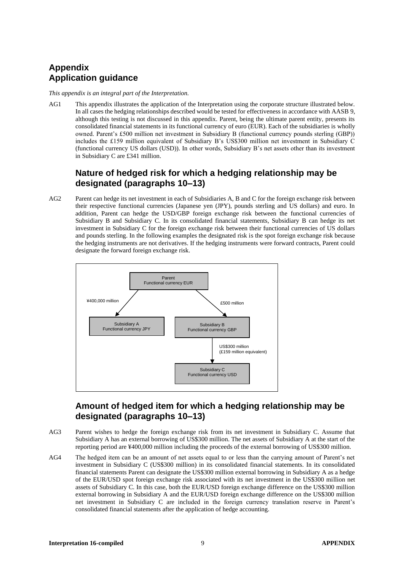# **Appendix Application guidance**

*This appendix is an integral part of the Interpretation.*

AG1 This appendix illustrates the application of the Interpretation using the corporate structure illustrated below. In all cases the hedging relationships described would be tested for effectiveness in accordance with AASB 9, although this testing is not discussed in this appendix. Parent, being the ultimate parent entity, presents its consolidated financial statements in its functional currency of euro (EUR). Each of the subsidiaries is wholly owned. Parent's £500 million net investment in Subsidiary B (functional currency pounds sterling (GBP)) includes the £159 million equivalent of Subsidiary B's US\$300 million net investment in Subsidiary C (functional currency US dollars (USD)). In other words, Subsidiary B's net assets other than its investment in Subsidiary C are £341 million.

### **Nature of hedged risk for which a hedging relationship may be designated (paragraphs 10–13)**

AG2 Parent can hedge its net investment in each of Subsidiaries A, B and C for the foreign exchange risk between their respective functional currencies (Japanese yen (JPY), pounds sterling and US dollars) and euro. In addition, Parent can hedge the USD/GBP foreign exchange risk between the functional currencies of Subsidiary B and Subsidiary C. In its consolidated financial statements, Subsidiary B can hedge its net investment in Subsidiary C for the foreign exchange risk between their functional currencies of US dollars and pounds sterling. In the following examples the designated risk is the spot foreign exchange risk because the hedging instruments are not derivatives. If the hedging instruments were forward contracts, Parent could designate the forward foreign exchange risk.



### **Amount of hedged item for which a hedging relationship may be designated (paragraphs 10–13)**

- AG3 Parent wishes to hedge the foreign exchange risk from its net investment in Subsidiary C. Assume that Subsidiary A has an external borrowing of US\$300 million. The net assets of Subsidiary A at the start of the reporting period are ¥400,000 million including the proceeds of the external borrowing of US\$300 million.
- AG4 The hedged item can be an amount of net assets equal to or less than the carrying amount of Parent's net investment in Subsidiary C (US\$300 million) in its consolidated financial statements. In its consolidated financial statements Parent can designate the US\$300 million external borrowing in Subsidiary A as a hedge of the EUR/USD spot foreign exchange risk associated with its net investment in the US\$300 million net assets of Subsidiary C. In this case, both the EUR/USD foreign exchange difference on the US\$300 million external borrowing in Subsidiary A and the EUR/USD foreign exchange difference on the US\$300 million net investment in Subsidiary C are included in the foreign currency translation reserve in Parent's consolidated financial statements after the application of hedge accounting.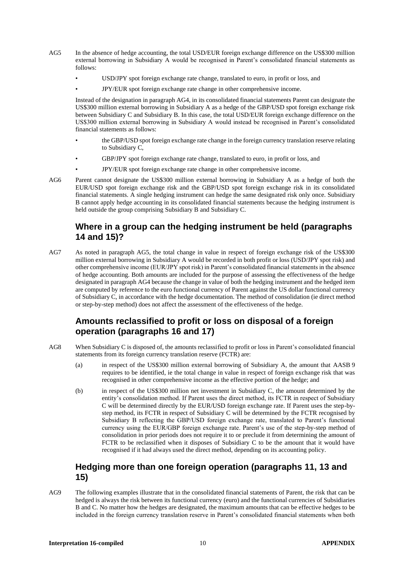- AG5 In the absence of hedge accounting, the total USD/EUR foreign exchange difference on the US\$300 million external borrowing in Subsidiary A would be recognised in Parent's consolidated financial statements as follows:
	- USD/JPY spot foreign exchange rate change, translated to euro, in profit or loss, and
	- JPY/EUR spot foreign exchange rate change in other comprehensive income.

Instead of the designation in paragraph AG4, in its consolidated financial statements Parent can designate the US\$300 million external borrowing in Subsidiary A as a hedge of the GBP/USD spot foreign exchange risk between Subsidiary C and Subsidiary B. In this case, the total USD/EUR foreign exchange difference on the US\$300 million external borrowing in Subsidiary A would instead be recognised in Parent's consolidated financial statements as follows:

- the GBP/USD spot foreign exchange rate change in the foreign currency translation reserve relating to Subsidiary C,
- GBP/JPY spot foreign exchange rate change, translated to euro, in profit or loss, and
- JPY/EUR spot foreign exchange rate change in other comprehensive income.
- AG6 Parent cannot designate the US\$300 million external borrowing in Subsidiary A as a hedge of both the EUR/USD spot foreign exchange risk and the GBP/USD spot foreign exchange risk in its consolidated financial statements. A single hedging instrument can hedge the same designated risk only once. Subsidiary B cannot apply hedge accounting in its consolidated financial statements because the hedging instrument is held outside the group comprising Subsidiary B and Subsidiary C.

### **Where in a group can the hedging instrument be held (paragraphs 14 and 15)?**

AG7 As noted in paragraph AG5, the total change in value in respect of foreign exchange risk of the US\$300 million external borrowing in Subsidiary A would be recorded in both profit or loss (USD/JPY spot risk) and other comprehensive income (EUR/JPY spot risk) in Parent's consolidated financial statements in the absence of hedge accounting. Both amounts are included for the purpose of assessing the effectiveness of the hedge designated in paragraph AG4 because the change in value of both the hedging instrument and the hedged item are computed by reference to the euro functional currency of Parent against the US dollar functional currency of Subsidiary C, in accordance with the hedge documentation. The method of consolidation (ie direct method or step-by-step method) does not affect the assessment of the effectiveness of the hedge.

### **Amounts reclassified to profit or loss on disposal of a foreign operation (paragraphs 16 and 17)**

- AG8 When Subsidiary C is disposed of, the amounts reclassified to profit or loss in Parent's consolidated financial statements from its foreign currency translation reserve (FCTR) are:
	- (a) in respect of the US\$300 million external borrowing of Subsidiary A, the amount that AASB 9 requires to be identified, ie the total change in value in respect of foreign exchange risk that was recognised in other comprehensive income as the effective portion of the hedge; and
	- (b) in respect of the US\$300 million net investment in Subsidiary C, the amount determined by the entity's consolidation method. If Parent uses the direct method, its FCTR in respect of Subsidiary C will be determined directly by the EUR/USD foreign exchange rate. If Parent uses the step-bystep method, its FCTR in respect of Subsidiary C will be determined by the FCTR recognised by Subsidiary B reflecting the GBP/USD foreign exchange rate, translated to Parent's functional currency using the EUR/GBP foreign exchange rate. Parent's use of the step-by-step method of consolidation in prior periods does not require it to or preclude it from determining the amount of FCTR to be reclassified when it disposes of Subsidiary C to be the amount that it would have recognised if it had always used the direct method, depending on its accounting policy.

### **Hedging more than one foreign operation (paragraphs 11, 13 and 15)**

AG9 The following examples illustrate that in the consolidated financial statements of Parent, the risk that can be hedged is always the risk between its functional currency (euro) and the functional currencies of Subsidiaries B and C. No matter how the hedges are designated, the maximum amounts that can be effective hedges to be included in the foreign currency translation reserve in Parent's consolidated financial statements when both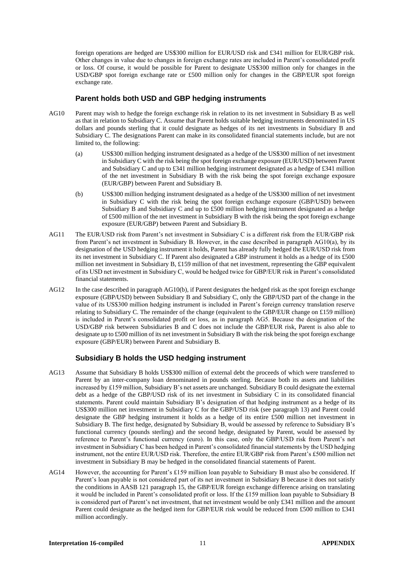foreign operations are hedged are US\$300 million for EUR/USD risk and £341 million for EUR/GBP risk. Other changes in value due to changes in foreign exchange rates are included in Parent's consolidated profit or loss. Of course, it would be possible for Parent to designate US\$300 million only for changes in the USD/GBP spot foreign exchange rate or £500 million only for changes in the GBP/EUR spot foreign exchange rate.

#### **Parent holds both USD and GBP hedging instruments**

- AG10 Parent may wish to hedge the foreign exchange risk in relation to its net investment in Subsidiary B as well as that in relation to Subsidiary C. Assume that Parent holds suitable hedging instruments denominated in US dollars and pounds sterling that it could designate as hedges of its net investments in Subsidiary B and Subsidiary C. The designations Parent can make in its consolidated financial statements include, but are not limited to, the following:
	- (a) US\$300 million hedging instrument designated as a hedge of the US\$300 million of net investment in Subsidiary C with the risk being the spot foreign exchange exposure (EUR/USD) between Parent and Subsidiary C and up to £341 million hedging instrument designated as a hedge of £341 million of the net investment in Subsidiary B with the risk being the spot foreign exchange exposure (EUR/GBP) between Parent and Subsidiary B.
	- (b) US\$300 million hedging instrument designated as a hedge of the US\$300 million of net investment in Subsidiary C with the risk being the spot foreign exchange exposure (GBP/USD) between Subsidiary B and Subsidiary C and up to £500 million hedging instrument designated as a hedge of £500 million of the net investment in Subsidiary B with the risk being the spot foreign exchange exposure (EUR/GBP) between Parent and Subsidiary B.
- AG11 The EUR/USD risk from Parent's net investment in Subsidiary C is a different risk from the EUR/GBP risk from Parent's net investment in Subsidiary B. However, in the case described in paragraph AG10(a), by its designation of the USD hedging instrument it holds, Parent has already fully hedged the EUR/USD risk from its net investment in Subsidiary C. If Parent also designated a GBP instrument it holds as a hedge of its £500 million net investment in Subsidiary B, £159 million of that net investment, representing the GBP equivalent of its USD net investment in Subsidiary C, would be hedged twice for GBP/EUR risk in Parent's consolidated financial statements.
- AG12 In the case described in paragraph AG10(b), if Parent designates the hedged risk as the spot foreign exchange exposure (GBP/USD) between Subsidiary B and Subsidiary C, only the GBP/USD part of the change in the value of its US\$300 million hedging instrument is included in Parent's foreign currency translation reserve relating to Subsidiary C. The remainder of the change (equivalent to the GBP/EUR change on £159 million) is included in Parent's consolidated profit or loss, as in paragraph AG5. Because the designation of the USD/GBP risk between Subsidiaries B and C does not include the GBP/EUR risk, Parent is also able to designate up to £500 million of its net investment in Subsidiary B with the risk being the spot foreign exchange exposure (GBP/EUR) between Parent and Subsidiary B.

#### **Subsidiary B holds the USD hedging instrument**

- AG13 Assume that Subsidiary B holds US\$300 million of external debt the proceeds of which were transferred to Parent by an inter-company loan denominated in pounds sterling. Because both its assets and liabilities increased by £159 million, Subsidiary B's net assets are unchanged. Subsidiary B could designate the external debt as a hedge of the GBP/USD risk of its net investment in Subsidiary C in its consolidated financial statements. Parent could maintain Subsidiary B's designation of that hedging instrument as a hedge of its US\$300 million net investment in Subsidiary C for the GBP/USD risk (see paragraph 13) and Parent could designate the GBP hedging instrument it holds as a hedge of its entire £500 million net investment in Subsidiary B. The first hedge, designated by Subsidiary B, would be assessed by reference to Subsidiary B's functional currency (pounds sterling) and the second hedge, designated by Parent, would be assessed by reference to Parent's functional currency (euro). In this case, only the GBP/USD risk from Parent's net investment in Subsidiary C has been hedged in Parent's consolidated financial statements by the USD hedging instrument, not the entire EUR/USD risk. Therefore, the entire EUR/GBP risk from Parent's £500 million net investment in Subsidiary B may be hedged in the consolidated financial statements of Parent.
- AG14 However, the accounting for Parent's £159 million loan payable to Subsidiary B must also be considered. If Parent's loan payable is not considered part of its net investment in Subsidiary B because it does not satisfy the conditions in AASB 121 paragraph 15, the GBP/EUR foreign exchange difference arising on translating it would be included in Parent's consolidated profit or loss. If the £159 million loan payable to Subsidiary B is considered part of Parent's net investment, that net investment would be only £341 million and the amount Parent could designate as the hedged item for GBP/EUR risk would be reduced from £500 million to £341 million accordingly.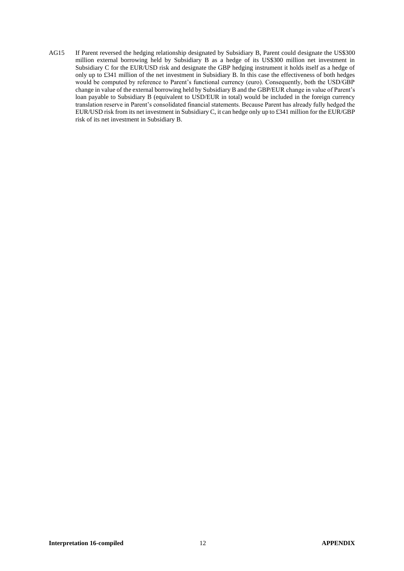AG15 If Parent reversed the hedging relationship designated by Subsidiary B, Parent could designate the US\$300 million external borrowing held by Subsidiary B as a hedge of its US\$300 million net investment in Subsidiary C for the EUR/USD risk and designate the GBP hedging instrument it holds itself as a hedge of only up to £341 million of the net investment in Subsidiary B. In this case the effectiveness of both hedges would be computed by reference to Parent's functional currency (euro). Consequently, both the USD/GBP change in value of the external borrowing held by Subsidiary B and the GBP/EUR change in value of Parent's loan payable to Subsidiary B (equivalent to USD/EUR in total) would be included in the foreign currency translation reserve in Parent's consolidated financial statements. Because Parent has already fully hedged the EUR/USD risk from its net investment in Subsidiary C, it can hedge only up to £341 million for the EUR/GBP risk of its net investment in Subsidiary B.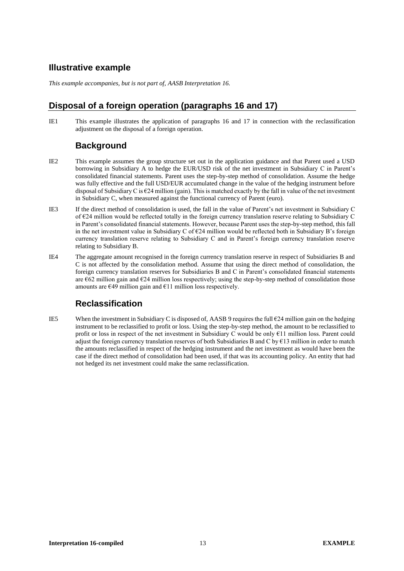### **Illustrative example**

*This example accompanies, but is not part of, AASB Interpretation 16.*

### **Disposal of a foreign operation (paragraphs 16 and 17)**

IE1 This example illustrates the application of paragraphs 16 and 17 in connection with the reclassification adjustment on the disposal of a foreign operation.

### **Background**

- IE2 This example assumes the group structure set out in the application guidance and that Parent used a USD borrowing in Subsidiary A to hedge the EUR/USD risk of the net investment in Subsidiary C in Parent's consolidated financial statements. Parent uses the step-by-step method of consolidation. Assume the hedge was fully effective and the full USD/EUR accumulated change in the value of the hedging instrument before disposal of Subsidiary C is €24 million (gain). This is matched exactly by the fall in value of the net investment in Subsidiary C, when measured against the functional currency of Parent (euro).
- IE3 If the direct method of consolidation is used, the fall in the value of Parent's net investment in Subsidiary C of €24 million would be reflected totally in the foreign currency translation reserve relating to Subsidiary C in Parent's consolidated financial statements. However, because Parent uses the step-by-step method, this fall in the net investment value in Subsidiary C of  $\epsilon$ 24 million would be reflected both in Subsidiary B's foreign currency translation reserve relating to Subsidiary C and in Parent's foreign currency translation reserve relating to Subsidiary B.
- IE4 The aggregate amount recognised in the foreign currency translation reserve in respect of Subsidiaries B and C is not affected by the consolidation method. Assume that using the direct method of consolidation, the foreign currency translation reserves for Subsidiaries B and C in Parent's consolidated financial statements are  $\epsilon$ 62 million gain and  $\epsilon$ 24 million loss respectively; using the step-by-step method of consolidation those amounts are  $\epsilon$ 49 million gain and  $\epsilon$ 11 million loss respectively.

# **Reclassification**

IE5 When the investment in Subsidiary C is disposed of, AASB 9 requires the full  $\epsilon$ 24 million gain on the hedging instrument to be reclassified to profit or loss. Using the step-by-step method, the amount to be reclassified to profit or loss in respect of the net investment in Subsidiary C would be only €11 million loss. Parent could adjust the foreign currency translation reserves of both Subsidiaries B and C by €13 million in order to match the amounts reclassified in respect of the hedging instrument and the net investment as would have been the case if the direct method of consolidation had been used, if that was its accounting policy. An entity that had not hedged its net investment could make the same reclassification.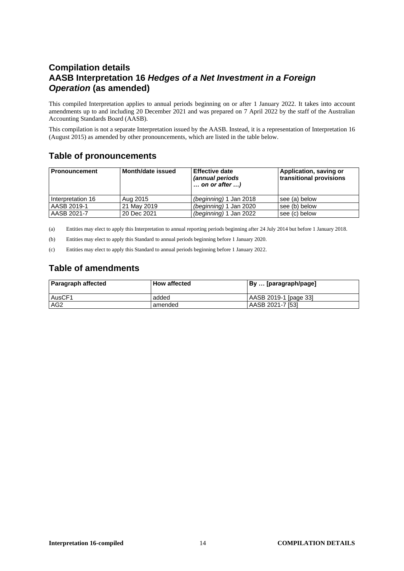# **Compilation details AASB Interpretation 16** *Hedges of a Net Investment in a Foreign Operation* **(as amended)**

This compiled Interpretation applies to annual periods beginning on or after 1 January 2022. It takes into account amendments up to and including 20 December 2021 and was prepared on 7 April 2022 by the staff of the Australian Accounting Standards Board (AASB).

This compilation is not a separate Interpretation issued by the AASB. Instead, it is a representation of Interpretation 16 (August 2015) as amended by other pronouncements, which are listed in the table below.

### **Table of pronouncements**

| Pronouncement     | <b>Month/date issued</b> | <b>Effective date</b><br>(annual periods<br>$\ldots$ on or after $\ldots$ ) | Application, saving or<br>transitional provisions |
|-------------------|--------------------------|-----------------------------------------------------------------------------|---------------------------------------------------|
| Interpretation 16 | Aug 2015                 | (beginning) 1 Jan 2018                                                      | see (a) below                                     |
| AASB 2019-1       | 21 May 2019              | (beginning) 1 Jan 2020                                                      | see (b) below                                     |
| AASB 2021-7       | 20 Dec 2021              | (beginning) 1 Jan 2022                                                      | see (c) below                                     |

(a) Entities may elect to apply this Interpretation to annual reporting periods beginning after 24 July 2014 but before 1 January 2018.

(b) Entities may elect to apply this Standard to annual periods beginning before 1 January 2020.

(c) Entities may elect to apply this Standard to annual periods beginning before 1 January 2022.

# **Table of amendments**

| <b>Paragraph affected</b> | <b>How affected</b> | By  [paragraph/page]  |
|---------------------------|---------------------|-----------------------|
| AusCF1                    | added               | AASB 2019-1 [page 33] |
| AG <sub>2</sub>           | amended             | AASB 2021-7 [53]      |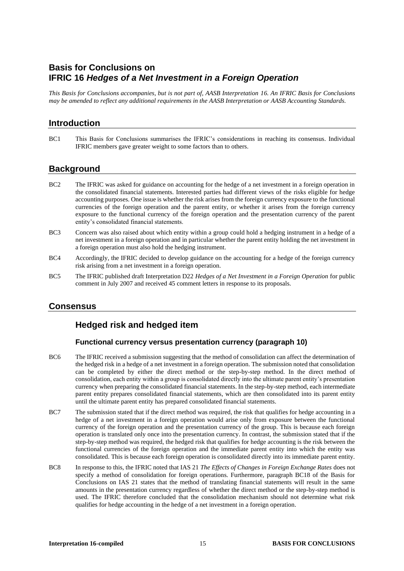### **Basis for Conclusions on IFRIC 16** *Hedges of a Net Investment in a Foreign Operation*

*This Basis for Conclusions accompanies, but is not part of, AASB Interpretation 16. An IFRIC Basis for Conclusions may be amended to reflect any additional requirements in the AASB Interpretation or AASB Accounting Standards.*

### **Introduction**

BC1 This Basis for Conclusions summarises the IFRIC's considerations in reaching its consensus. Individual IFRIC members gave greater weight to some factors than to others.

### **Background**

- BC2 The IFRIC was asked for guidance on accounting for the hedge of a net investment in a foreign operation in the consolidated financial statements. Interested parties had different views of the risks eligible for hedge accounting purposes. One issue is whether the risk arises from the foreign currency exposure to the functional currencies of the foreign operation and the parent entity, or whether it arises from the foreign currency exposure to the functional currency of the foreign operation and the presentation currency of the parent entity's consolidated financial statements.
- BC3 Concern was also raised about which entity within a group could hold a hedging instrument in a hedge of a net investment in a foreign operation and in particular whether the parent entity holding the net investment in a foreign operation must also hold the hedging instrument.
- BC4 Accordingly, the IFRIC decided to develop guidance on the accounting for a hedge of the foreign currency risk arising from a net investment in a foreign operation.
- BC5 The IFRIC published draft Interpretation D22 *Hedges of a Net Investment in a Foreign Operation* for public comment in July 2007 and received 45 comment letters in response to its proposals.

### **Consensus**

### **Hedged risk and hedged item**

#### **Functional currency versus presentation currency (paragraph 10)**

- BC6 The IFRIC received a submission suggesting that the method of consolidation can affect the determination of the hedged risk in a hedge of a net investment in a foreign operation. The submission noted that consolidation can be completed by either the direct method or the step-by-step method. In the direct method of consolidation, each entity within a group is consolidated directly into the ultimate parent entity's presentation currency when preparing the consolidated financial statements. In the step-by-step method, each intermediate parent entity prepares consolidated financial statements, which are then consolidated into its parent entity until the ultimate parent entity has prepared consolidated financial statements.
- BC7 The submission stated that if the direct method was required, the risk that qualifies for hedge accounting in a hedge of a net investment in a foreign operation would arise only from exposure between the functional currency of the foreign operation and the presentation currency of the group. This is because each foreign operation is translated only once into the presentation currency. In contrast, the submission stated that if the step-by-step method was required, the hedged risk that qualifies for hedge accounting is the risk between the functional currencies of the foreign operation and the immediate parent entity into which the entity was consolidated. This is because each foreign operation is consolidated directly into its immediate parent entity.
- BC8 In response to this, the IFRIC noted that IAS 21 *The Effects of Changes in Foreign Exchange Rates* does not specify a method of consolidation for foreign operations. Furthermore, paragraph BC18 of the Basis for Conclusions on IAS 21 states that the method of translating financial statements will result in the same amounts in the presentation currency regardless of whether the direct method or the step-by-step method is used. The IFRIC therefore concluded that the consolidation mechanism should not determine what risk qualifies for hedge accounting in the hedge of a net investment in a foreign operation.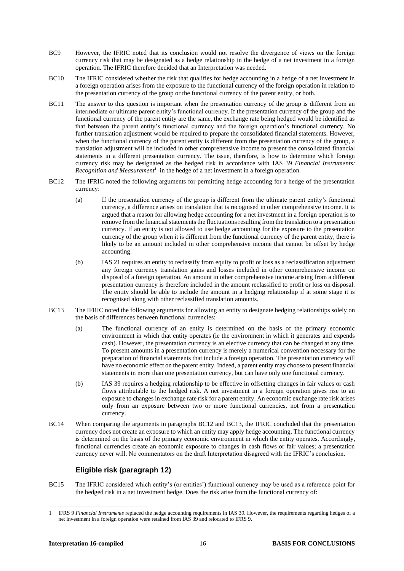- BC9 However, the IFRIC noted that its conclusion would not resolve the divergence of views on the foreign currency risk that may be designated as a hedge relationship in the hedge of a net investment in a foreign operation. The IFRIC therefore decided that an Interpretation was needed.
- BC10 The IFRIC considered whether the risk that qualifies for hedge accounting in a hedge of a net investment in a foreign operation arises from the exposure to the functional currency of the foreign operation in relation to the presentation currency of the group or the functional currency of the parent entity, or both.
- BC11 The answer to this question is important when the presentation currency of the group is different from an intermediate or ultimate parent entity's functional currency. If the presentation currency of the group and the functional currency of the parent entity are the same, the exchange rate being hedged would be identified as that between the parent entity's functional currency and the foreign operation's functional currency. No further translation adjustment would be required to prepare the consolidated financial statements. However, when the functional currency of the parent entity is different from the presentation currency of the group, a translation adjustment will be included in other comprehensive income to present the consolidated financial statements in a different presentation currency. The issue, therefore, is how to determine which foreign currency risk may be designated as the hedged risk in accordance with IAS 39 *Financial Instruments:*   $Recognition$  and  $Measurement<sup>1</sup>$  in the hedge of a net investment in a foreign operation.
- BC12 The IFRIC noted the following arguments for permitting hedge accounting for a hedge of the presentation currency:
	- (a) If the presentation currency of the group is different from the ultimate parent entity's functional currency, a difference arises on translation that is recognised in other comprehensive income. It is argued that a reason for allowing hedge accounting for a net investment in a foreign operation is to remove from the financial statements the fluctuations resulting from the translation to a presentation currency. If an entity is not allowed to use hedge accounting for the exposure to the presentation currency of the group when it is different from the functional currency of the parent entity, there is likely to be an amount included in other comprehensive income that cannot be offset by hedge accounting.
	- (b) IAS 21 requires an entity to reclassify from equity to profit or loss as a reclassification adjustment any foreign currency translation gains and losses included in other comprehensive income on disposal of a foreign operation. An amount in other comprehensive income arising from a different presentation currency is therefore included in the amount reclassified to profit or loss on disposal. The entity should be able to include the amount in a hedging relationship if at some stage it is recognised along with other reclassified translation amounts.
- BC13 The IFRIC noted the following arguments for allowing an entity to designate hedging relationships solely on the basis of differences between functional currencies:
	- (a) The functional currency of an entity is determined on the basis of the primary economic environment in which that entity operates (ie the environment in which it generates and expends cash). However, the presentation currency is an elective currency that can be changed at any time. To present amounts in a presentation currency is merely a numerical convention necessary for the preparation of financial statements that include a foreign operation. The presentation currency will have no economic effect on the parent entity. Indeed, a parent entity may choose to present financial statements in more than one presentation currency, but can have only one functional currency.
	- (b) IAS 39 requires a hedging relationship to be effective in offsetting changes in fair values or cash flows attributable to the hedged risk. A net investment in a foreign operation gives rise to an exposure to changes in exchange rate risk for a parent entity. An economic exchange rate risk arises only from an exposure between two or more functional currencies, not from a presentation currency.
- BC14 When comparing the arguments in paragraphs BC12 and BC13, the IFRIC concluded that the presentation currency does not create an exposure to which an entity may apply hedge accounting. The functional currency is determined on the basis of the primary economic environment in which the entity operates. Accordingly, functional currencies create an economic exposure to changes in cash flows or fair values; a presentation currency never will. No commentators on the draft Interpretation disagreed with the IFRIC's conclusion.

### **Eligible risk (paragraph 12)**

BC15 The IFRIC considered which entity's (or entities') functional currency may be used as a reference point for the hedged risk in a net investment hedge. Does the risk arise from the functional currency of:

<sup>1</sup> IFRS 9 *Financial Instruments* replaced the hedge accounting requirements in IAS 39. However, the requirements regarding hedges of a net investment in a foreign operation were retained from IAS 39 and relocated to IFRS 9.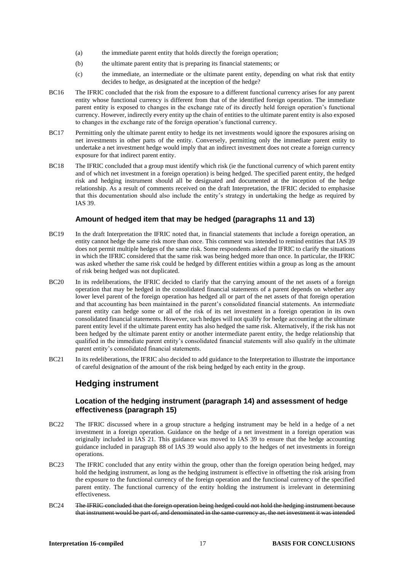- (a) the immediate parent entity that holds directly the foreign operation;
- (b) the ultimate parent entity that is preparing its financial statements; or
- (c) the immediate, an intermediate or the ultimate parent entity, depending on what risk that entity decides to hedge, as designated at the inception of the hedge?
- BC16 The IFRIC concluded that the risk from the exposure to a different functional currency arises for any parent entity whose functional currency is different from that of the identified foreign operation. The immediate parent entity is exposed to changes in the exchange rate of its directly held foreign operation's functional currency. However, indirectly every entity up the chain of entities to the ultimate parent entity is also exposed to changes in the exchange rate of the foreign operation's functional currency.
- BC17 Permitting only the ultimate parent entity to hedge its net investments would ignore the exposures arising on net investments in other parts of the entity. Conversely, permitting only the immediate parent entity to undertake a net investment hedge would imply that an indirect investment does not create a foreign currency exposure for that indirect parent entity.
- BC18 The IFRIC concluded that a group must identify which risk (ie the functional currency of which parent entity and of which net investment in a foreign operation) is being hedged. The specified parent entity, the hedged risk and hedging instrument should all be designated and documented at the inception of the hedge relationship. As a result of comments received on the draft Interpretation, the IFRIC decided to emphasise that this documentation should also include the entity's strategy in undertaking the hedge as required by IAS 39.

#### **Amount of hedged item that may be hedged (paragraphs 11 and 13)**

- BC19 In the draft Interpretation the IFRIC noted that, in financial statements that include a foreign operation, an entity cannot hedge the same risk more than once. This comment was intended to remind entities that IAS 39 does not permit multiple hedges of the same risk. Some respondents asked the IFRIC to clarify the situations in which the IFRIC considered that the same risk was being hedged more than once. In particular, the IFRIC was asked whether the same risk could be hedged by different entities within a group as long as the amount of risk being hedged was not duplicated.
- BC20 In its redeliberations, the IFRIC decided to clarify that the carrying amount of the net assets of a foreign operation that may be hedged in the consolidated financial statements of a parent depends on whether any lower level parent of the foreign operation has hedged all or part of the net assets of that foreign operation and that accounting has been maintained in the parent's consolidated financial statements. An intermediate parent entity can hedge some or all of the risk of its net investment in a foreign operation in its own consolidated financial statements. However, such hedges will not qualify for hedge accounting at the ultimate parent entity level if the ultimate parent entity has also hedged the same risk. Alternatively, if the risk has not been hedged by the ultimate parent entity or another intermediate parent entity, the hedge relationship that qualified in the immediate parent entity's consolidated financial statements will also qualify in the ultimate parent entity's consolidated financial statements.
- BC21 In its redeliberations, the IFRIC also decided to add guidance to the Interpretation to illustrate the importance of careful designation of the amount of the risk being hedged by each entity in the group.

### **Hedging instrument**

#### **Location of the hedging instrument (paragraph 14) and assessment of hedge effectiveness (paragraph 15)**

- BC22 The IFRIC discussed where in a group structure a hedging instrument may be held in a hedge of a net investment in a foreign operation. Guidance on the hedge of a net investment in a foreign operation was originally included in IAS 21. This guidance was moved to IAS 39 to ensure that the hedge accounting guidance included in paragraph 88 of IAS 39 would also apply to the hedges of net investments in foreign operations.
- BC23 The IFRIC concluded that any entity within the group, other than the foreign operation being hedged, may hold the hedging instrument, as long as the hedging instrument is effective in offsetting the risk arising from the exposure to the functional currency of the foreign operation and the functional currency of the specified parent entity. The functional currency of the entity holding the instrument is irrelevant in determining effectiveness.
- BC24 The IFRIC concluded that the foreign operation being hedged could not hold the hedging instrument because that instrument would be part of, and denominated in the same currency as, the net investment it was intended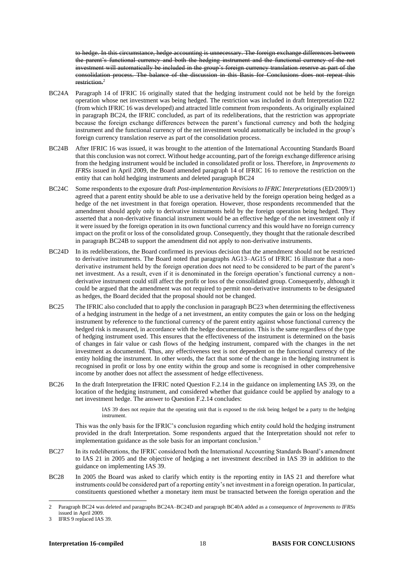to hedge. In this circumstance, hedge accounting is unnecessary. The foreign exchange differences between the parent's functional currency and both the hedging instrument and the functional currency of the net investment will automatically be included in the group's foreign currency translation reserve as part of the consolidation process. The balance of the discussion in this Basis for Conclusions does not repeat this restriction.<sup>2</sup>

- BC24A Paragraph 14 of IFRIC 16 originally stated that the hedging instrument could not be held by the foreign operation whose net investment was being hedged. The restriction was included in draft Interpretation D22 (from which IFRIC 16 was developed) and attracted little comment from respondents. As originally explained in paragraph BC24, the IFRIC concluded, as part of its redeliberations, that the restriction was appropriate because the foreign exchange differences between the parent's functional currency and both the hedging instrument and the functional currency of the net investment would automatically be included in the group's foreign currency translation reserve as part of the consolidation process.
- BC24B After IFRIC 16 was issued, it was brought to the attention of the International Accounting Standards Board that this conclusion was not correct. Without hedge accounting, part of the foreign exchange difference arising from the hedging instrument would be included in consolidated profit or loss. Therefore, in *Improvements to IFRSs* issued in April 2009, the Board amended paragraph 14 of IFRIC 16 to remove the restriction on the entity that can hold hedging instruments and deleted paragraph BC24
- BC24C Some respondents to the exposure draft *Post-implementation Revisions to IFRIC Interpretations* (ED/2009/1) agreed that a parent entity should be able to use a derivative held by the foreign operation being hedged as a hedge of the net investment in that foreign operation. However, those respondents recommended that the amendment should apply only to derivative instruments held by the foreign operation being hedged. They asserted that a non-derivative financial instrument would be an effective hedge of the net investment only if it were issued by the foreign operation in its own functional currency and this would have no foreign currency impact on the profit or loss of the consolidated group. Consequently, they thought that the rationale described in paragraph BC24B to support the amendment did not apply to non-derivative instruments.
- BC24D In its redeliberations, the Board confirmed its previous decision that the amendment should not be restricted to derivative instruments. The Board noted that paragraphs AG13–AG15 of IFRIC 16 illustrate that a nonderivative instrument held by the foreign operation does not need to be considered to be part of the parent's net investment. As a result, even if it is denominated in the foreign operation's functional currency a nonderivative instrument could still affect the profit or loss of the consolidated group. Consequently, although it could be argued that the amendment was not required to permit non-derivative instruments to be designated as hedges, the Board decided that the proposal should not be changed.
- BC25 The IFRIC also concluded that to apply the conclusion in paragraph BC23 when determining the effectiveness of a hedging instrument in the hedge of a net investment, an entity computes the gain or loss on the hedging instrument by reference to the functional currency of the parent entity against whose functional currency the hedged risk is measured, in accordance with the hedge documentation. This is the same regardless of the type of hedging instrument used. This ensures that the effectiveness of the instrument is determined on the basis of changes in fair value or cash flows of the hedging instrument, compared with the changes in the net investment as documented. Thus, any effectiveness test is not dependent on the functional currency of the entity holding the instrument. In other words, the fact that some of the change in the hedging instrument is recognised in profit or loss by one entity within the group and some is recognised in other comprehensive income by another does not affect the assessment of hedge effectiveness.
- BC26 In the draft Interpretation the IFRIC noted Question F.2.14 in the guidance on implementing IAS 39, on the location of the hedging instrument, and considered whether that guidance could be applied by analogy to a net investment hedge. The answer to Question F.2.14 concludes:

IAS 39 does not require that the operating unit that is exposed to the risk being hedged be a party to the hedging instrument.

This was the only basis for the IFRIC's conclusion regarding which entity could hold the hedging instrument provided in the draft Interpretation. Some respondents argued that the Interpretation should not refer to implementation guidance as the sole basis for an important conclusion.<sup>3</sup>

- BC27 In its redeliberations, the IFRIC considered both the International Accounting Standards Board's amendment to IAS 21 in 2005 and the objective of hedging a net investment described in IAS 39 in addition to the guidance on implementing IAS 39.
- BC28 In 2005 the Board was asked to clarify which entity is the reporting entity in IAS 21 and therefore what instruments could be considered part of a reporting entity's net investment in a foreign operation. In particular, constituents questioned whether a monetary item must be transacted between the foreign operation and the

<sup>2</sup> Paragraph BC24 was deleted and paragraphs BC24A–BC24D and paragraph BC40A added as a consequence of *Improvements to IFRSs* issued in April 2009.

<sup>3</sup> IFRS 9 replaced IAS 39.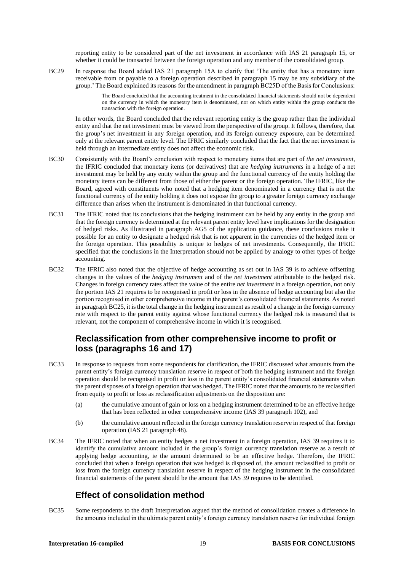reporting entity to be considered part of the net investment in accordance with IAS 21 paragraph 15, or whether it could be transacted between the foreign operation and any member of the consolidated group.

BC29 In response the Board added IAS 21 paragraph 15A to clarify that 'The entity that has a monetary item receivable from or payable to a foreign operation described in paragraph 15 may be any subsidiary of the group.' The Board explained its reasons for the amendment in paragraph BC25D of the Basis for Conclusions:

> The Board concluded that the accounting treatment in the consolidated financial statements should not be dependent on the currency in which the monetary item is denominated, nor on which entity within the group conducts the transaction with the foreign operation.

In other words, the Board concluded that the relevant reporting entity is the group rather than the individual entity and that the net investment must be viewed from the perspective of the group. It follows, therefore, that the group's net investment in any foreign operation, and its foreign currency exposure, can be determined only at the relevant parent entity level. The IFRIC similarly concluded that the fact that the net investment is held through an intermediate entity does not affect the economic risk.

- BC30 Consistently with the Board's conclusion with respect to monetary items that are part of *the net investment*, the IFRIC concluded that monetary items (or derivatives) that are *hedging instruments* in a hedge of a net investment may be held by any entity within the group and the functional currency of the entity holding the monetary items can be different from those of either the parent or the foreign operation. The IFRIC, like the Board, agreed with constituents who noted that a hedging item denominated in a currency that is not the functional currency of the entity holding it does not expose the group to a greater foreign currency exchange difference than arises when the instrument is denominated in that functional currency.
- BC31 The IFRIC noted that its conclusions that the hedging instrument can be held by any entity in the group and that the foreign currency is determined at the relevant parent entity level have implications for the designation of hedged risks. As illustrated in paragraph AG5 of the application guidance, these conclusions make it possible for an entity to designate a hedged risk that is not apparent in the currencies of the hedged item or the foreign operation. This possibility is unique to hedges of net investments. Consequently, the IFRIC specified that the conclusions in the Interpretation should not be applied by analogy to other types of hedge accounting.
- BC32 The IFRIC also noted that the objective of hedge accounting as set out in IAS 39 is to achieve offsetting changes in the values of the *hedging instrument* and of the *net investment* attributable to the hedged risk. Changes in foreign currency rates affect the value of the entire *net investment* in a foreign operation, not only the portion IAS 21 requires to be recognised in profit or loss in the absence of hedge accounting but also the portion recognised in other comprehensive income in the parent's consolidated financial statements. As noted in paragraph BC25, it is the total change in the hedging instrument as result of a change in the foreign currency rate with respect to the parent entity against whose functional currency the hedged risk is measured that is relevant, not the component of comprehensive income in which it is recognised.

### **Reclassification from other comprehensive income to profit or loss (paragraphs 16 and 17)**

- BC33 In response to requests from some respondents for clarification, the IFRIC discussed what amounts from the parent entity's foreign currency translation reserve in respect of both the hedging instrument and the foreign operation should be recognised in profit or loss in the parent entity's consolidated financial statements when the parent disposes of a foreign operation that was hedged. The IFRIC noted that the amounts to be reclassified from equity to profit or loss as reclassification adjustments on the disposition are:
	- (a) the cumulative amount of gain or loss on a hedging instrument determined to be an effective hedge that has been reflected in other comprehensive income (IAS 39 paragraph 102), and
	- (b) the cumulative amount reflected in the foreign currency translation reserve in respect of that foreign operation (IAS 21 paragraph 48).
- BC34 The IFRIC noted that when an entity hedges a net investment in a foreign operation, IAS 39 requires it to identify the cumulative amount included in the group's foreign currency translation reserve as a result of applying hedge accounting, ie the amount determined to be an effective hedge. Therefore, the IFRIC concluded that when a foreign operation that was hedged is disposed of, the amount reclassified to profit or loss from the foreign currency translation reserve in respect of the hedging instrument in the consolidated financial statements of the parent should be the amount that IAS 39 requires to be identified.

# **Effect of consolidation method**

BC35 Some respondents to the draft Interpretation argued that the method of consolidation creates a difference in the amounts included in the ultimate parent entity's foreign currency translation reserve for individual foreign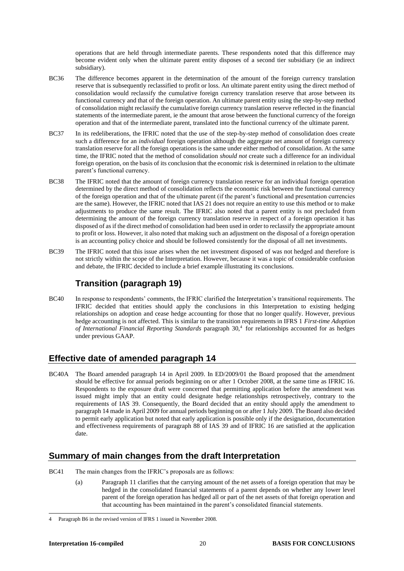operations that are held through intermediate parents. These respondents noted that this difference may become evident only when the ultimate parent entity disposes of a second tier subsidiary (ie an indirect subsidiary).

- BC36 The difference becomes apparent in the determination of the amount of the foreign currency translation reserve that is subsequently reclassified to profit or loss. An ultimate parent entity using the direct method of consolidation would reclassify the cumulative foreign currency translation reserve that arose between its functional currency and that of the foreign operation. An ultimate parent entity using the step-by-step method of consolidation might reclassify the cumulative foreign currency translation reserve reflected in the financial statements of the intermediate parent, ie the amount that arose between the functional currency of the foreign operation and that of the intermediate parent, translated into the functional currency of the ultimate parent.
- BC37 In its redeliberations, the IFRIC noted that the use of the step-by-step method of consolidation does create such a difference for an *individual* foreign operation although the aggregate net amount of foreign currency translation reserve for all the foreign operations is the same under either method of consolidation. At the same time, the IFRIC noted that the method of consolidation *should not* create such a difference for an individual foreign operation, on the basis of its conclusion that the economic risk is determined in relation to the ultimate parent's functional currency.
- BC38 The IFRIC noted that the amount of foreign currency translation reserve for an individual foreign operation determined by the direct method of consolidation reflects the economic risk between the functional currency of the foreign operation and that of the ultimate parent (if the parent's functional and presentation currencies are the same). However, the IFRIC noted that IAS 21 does not require an entity to use this method or to make adjustments to produce the same result. The IFRIC also noted that a parent entity is not precluded from determining the amount of the foreign currency translation reserve in respect of a foreign operation it has disposed of as if the direct method of consolidation had been used in order to reclassify the appropriate amount to profit or loss. However, it also noted that making such an adjustment on the disposal of a foreign operation is an accounting policy choice and should be followed consistently for the disposal of all net investments.
- BC39 The IFRIC noted that this issue arises when the net investment disposed of was not hedged and therefore is not strictly within the scope of the Interpretation. However, because it was a topic of considerable confusion and debate, the IFRIC decided to include a brief example illustrating its conclusions.

### **Transition (paragraph 19)**

BC40 In response to respondents' comments, the IFRIC clarified the Interpretation's transitional requirements. The IFRIC decided that entities should apply the conclusions in this Interpretation to existing hedging relationships on adoption and cease hedge accounting for those that no longer qualify. However, previous hedge accounting is not affected. This is similar to the transition requirements in IFRS 1 *First-time Adoption of International Financial Reporting Standards* paragraph 30,<sup>4</sup> for relationships accounted for as hedges under previous GAAP.

### **Effective date of amended paragraph 14**

BC40A The Board amended paragraph 14 in April 2009. In ED/2009/01 the Board proposed that the amendment should be effective for annual periods beginning on or after 1 October 2008, at the same time as IFRIC 16. Respondents to the exposure draft were concerned that permitting application before the amendment was issued might imply that an entity could designate hedge relationships retrospectively, contrary to the requirements of IAS 39. Consequently, the Board decided that an entity should apply the amendment to paragraph 14 made in April 2009 for annual periods beginning on or after 1 July 2009. The Board also decided to permit early application but noted that early application is possible only if the designation, documentation and effectiveness requirements of paragraph 88 of IAS 39 and of IFRIC 16 are satisfied at the application date.

### **Summary of main changes from the draft Interpretation**

- BC41 The main changes from the IFRIC's proposals are as follows:
	- (a) Paragraph 11 clarifies that the carrying amount of the net assets of a foreign operation that may be hedged in the consolidated financial statements of a parent depends on whether any lower level parent of the foreign operation has hedged all or part of the net assets of that foreign operation and that accounting has been maintained in the parent's consolidated financial statements.

<sup>4</sup> Paragraph B6 in the revised version of IFRS 1 issued in November 2008.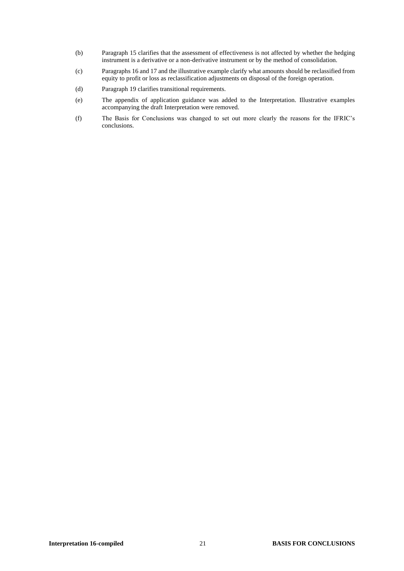- (b) Paragraph 15 clarifies that the assessment of effectiveness is not affected by whether the hedging instrument is a derivative or a non-derivative instrument or by the method of consolidation.
- (c) Paragraphs 16 and 17 and the illustrative example clarify what amounts should be reclassified from equity to profit or loss as reclassification adjustments on disposal of the foreign operation.
- (d) Paragraph 19 clarifies transitional requirements.
- (e) The appendix of application guidance was added to the Interpretation. Illustrative examples accompanying the draft Interpretation were removed.
- (f) The Basis for Conclusions was changed to set out more clearly the reasons for the IFRIC's conclusions.